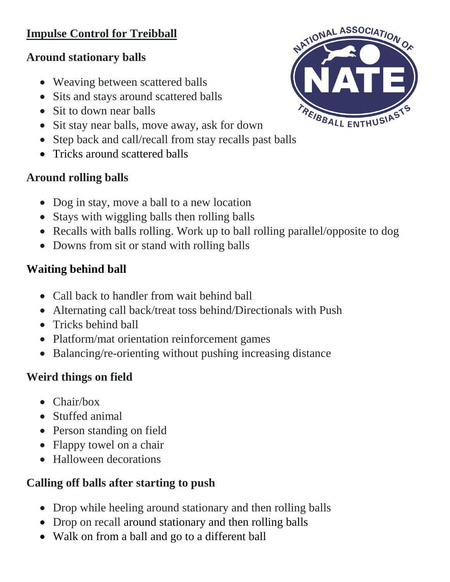## **Impulse Control for Treibball**

#### **Around stationary balls**

- Weaving between scattered balls
- Sits and stays around scattered balls
- Sit to down near balls
- Sit stay near balls, move away, ask for down
- Step back and call/recall from stay recalls past balls
- Tricks around scattered balls

## **Around rolling balls**

- Dog in stay, move a ball to a new location
- Stays with wiggling balls then rolling balls
- Recalls with balls rolling. Work up to ball rolling parallel/opposite to dog
- Downs from sit or stand with rolling balls

## **Waiting behind ball**

- Call back to handler from wait behind ball
- Alternating call back/treat toss behind/Directionals with Push
- Tricks behind ball
- Platform/mat orientation reinforcement games
- Balancing/re-orienting without pushing increasing distance

# **Weird things on field**

- Chair/box
- Stuffed animal
- Person standing on field
- Flappy towel on a chair
- Halloween decorations

# **Calling off balls after starting to push**

- Drop while heeling around stationary and then rolling balls
- Drop on recall around stationary and then rolling balls
- Walk on from a ball and go to a different ball